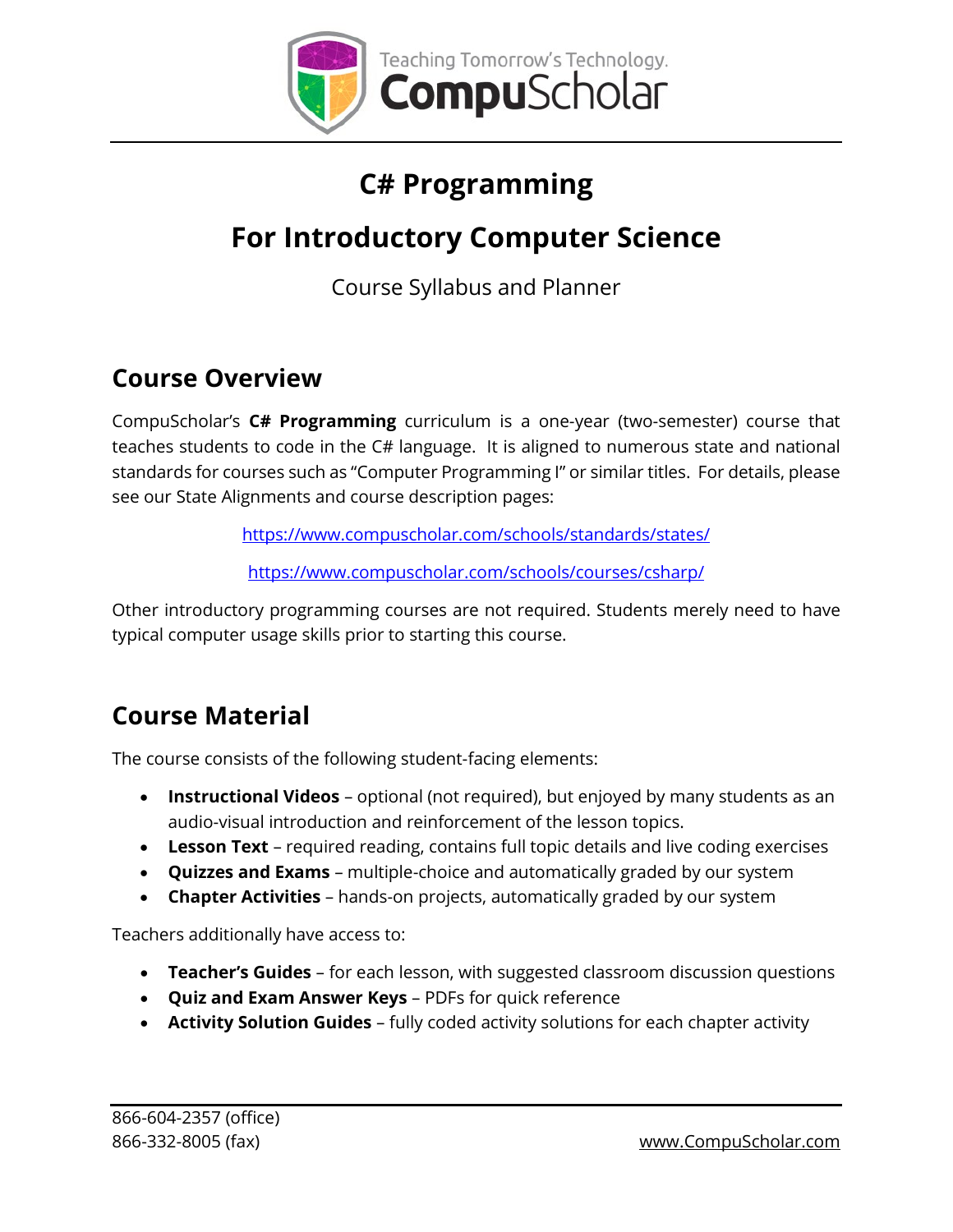

# **C# Programming**

# **For Introductory Computer Science**

Course Syllabus and Planner

#### **Course Overview**

CompuScholar's **C# Programming** curriculum is a one-year (two-semester) course that teaches students to code in the C# language. It is aligned to numerous state and national standards for courses such as "Computer Programming I" or similar titles. For details, please see our State Alignments and course description pages:

<https://www.compuscholar.com/schools/standards/states/>

<https://www.compuscholar.com/schools/courses/csharp/>

Other introductory programming courses are not required. Students merely need to have typical computer usage skills prior to starting this course.

## **Course Material**

The course consists of the following student-facing elements:

- **Instructional Videos** optional (not required), but enjoyed by many students as an audio-visual introduction and reinforcement of the lesson topics.
- **Lesson Text** required reading, contains full topic details and live coding exercises
- **Quizzes and Exams** multiple-choice and automatically graded by our system
- **Chapter Activities** hands-on projects, automatically graded by our system

Teachers additionally have access to:

- **Teacher's Guides** for each lesson, with suggested classroom discussion questions
- **Quiz and Exam Answer Keys** PDFs for quick reference
- **Activity Solution Guides** fully coded activity solutions for each chapter activity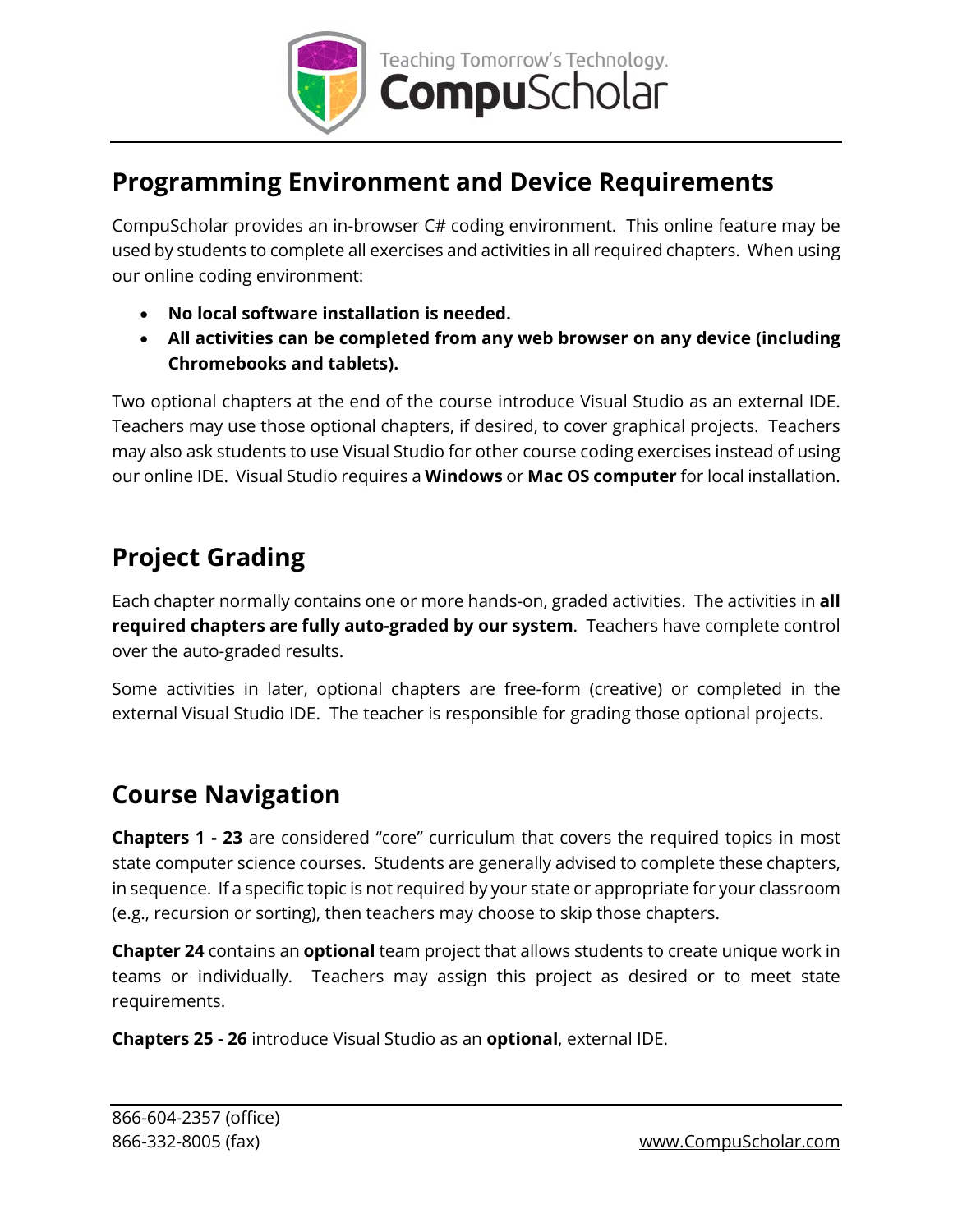

### **Programming Environment and Device Requirements**

CompuScholar provides an in-browser C# coding environment. This online feature may be used by students to complete all exercises and activities in all required chapters. When using our online coding environment:

- **No local software installation is needed.**
- **All activities can be completed from any web browser on any device (including Chromebooks and tablets).**

Two optional chapters at the end of the course introduce Visual Studio as an external IDE. Teachers may use those optional chapters, if desired, to cover graphical projects. Teachers may also ask students to use Visual Studio for other course coding exercises instead of using our online IDE. Visual Studio requires a **Windows** or **Mac OS computer** for local installation.

### **Project Grading**

Each chapter normally contains one or more hands-on, graded activities. The activities in **all required chapters are fully auto-graded by our system**. Teachers have complete control over the auto-graded results.

Some activities in later, optional chapters are free-form (creative) or completed in the external Visual Studio IDE. The teacher is responsible for grading those optional projects.

#### **Course Navigation**

**Chapters 1 - 23** are considered "core" curriculum that covers the required topics in most state computer science courses. Students are generally advised to complete these chapters, in sequence. If a specific topic is not required by your state or appropriate for your classroom (e.g., recursion or sorting), then teachers may choose to skip those chapters.

**Chapter 24** contains an **optional** team project that allows students to create unique work in teams or individually. Teachers may assign this project as desired or to meet state requirements.

**Chapters 25 - 26** introduce Visual Studio as an **optional**, external IDE.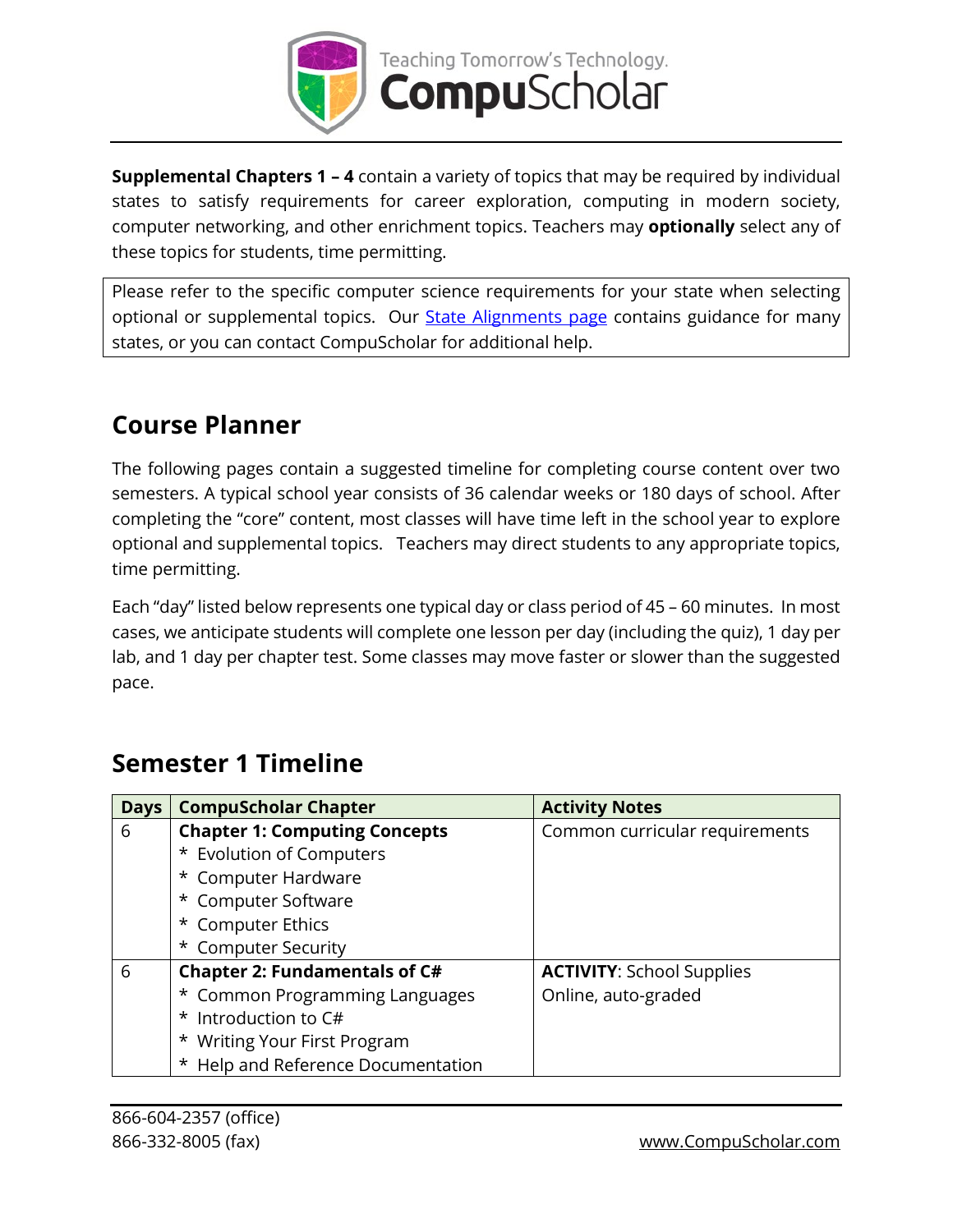

**Supplemental Chapters 1 – 4** contain a variety of topics that may be required by individual states to satisfy requirements for career exploration, computing in modern society, computer networking, and other enrichment topics. Teachers may **optionally** select any of these topics for students, time permitting.

Please refer to the specific computer science requirements for your state when selecting optional or supplemental topics. Our **State Alignments page** contains guidance for many states, or you can contact CompuScholar for additional help.

### **Course Planner**

The following pages contain a suggested timeline for completing course content over two semesters. A typical school year consists of 36 calendar weeks or 180 days of school. After completing the "core" content, most classes will have time left in the school year to explore optional and supplemental topics. Teachers may direct students to any appropriate topics, time permitting.

Each "day" listed below represents one typical day or class period of 45 – 60 minutes. In most cases, we anticipate students will complete one lesson per day (including the quiz), 1 day per lab, and 1 day per chapter test. Some classes may move faster or slower than the suggested pace.

| <b>Days</b> | <b>CompuScholar Chapter</b>          | <b>Activity Notes</b>            |
|-------------|--------------------------------------|----------------------------------|
| 6           | <b>Chapter 1: Computing Concepts</b> | Common curricular requirements   |
|             | * Evolution of Computers             |                                  |
|             | * Computer Hardware                  |                                  |
|             | * Computer Software                  |                                  |
|             | * Computer Ethics                    |                                  |
|             | * Computer Security                  |                                  |
| 6           | <b>Chapter 2: Fundamentals of C#</b> | <b>ACTIVITY: School Supplies</b> |
|             | * Common Programming Languages       | Online, auto-graded              |
|             | * Introduction to C#                 |                                  |
|             | * Writing Your First Program         |                                  |
|             | * Help and Reference Documentation   |                                  |

## **Semester 1 Timeline**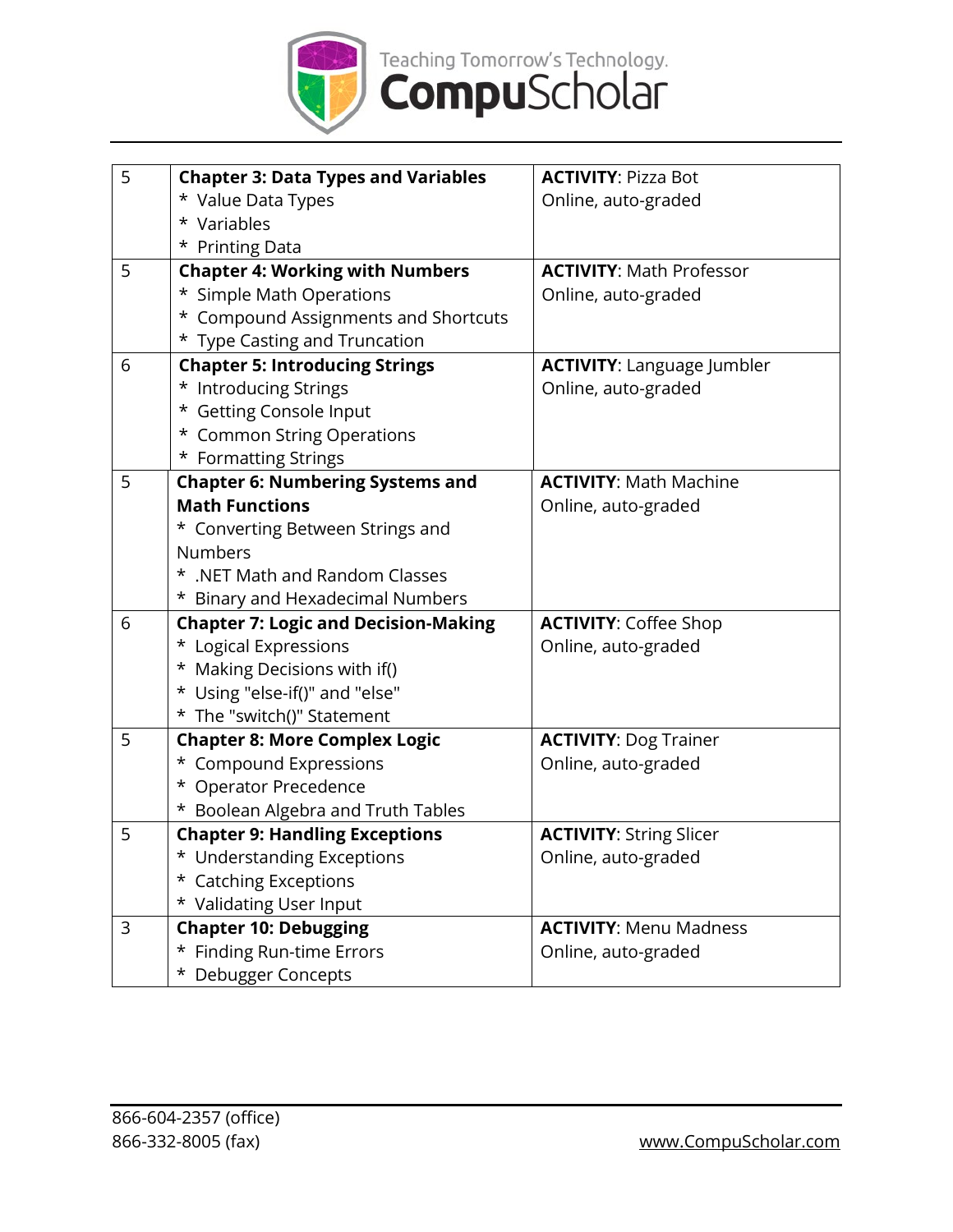

| 5 | <b>Chapter 3: Data Types and Variables</b>  | <b>ACTIVITY: Pizza Bot</b>        |
|---|---------------------------------------------|-----------------------------------|
|   | * Value Data Types                          | Online, auto-graded               |
|   | * Variables                                 |                                   |
|   | * Printing Data                             |                                   |
| 5 | <b>Chapter 4: Working with Numbers</b>      | <b>ACTIVITY: Math Professor</b>   |
|   | * Simple Math Operations                    | Online, auto-graded               |
|   | * Compound Assignments and Shortcuts        |                                   |
|   | * Type Casting and Truncation               |                                   |
| 6 | <b>Chapter 5: Introducing Strings</b>       | <b>ACTIVITY: Language Jumbler</b> |
|   | * Introducing Strings                       | Online, auto-graded               |
|   | * Getting Console Input                     |                                   |
|   | * Common String Operations                  |                                   |
|   | * Formatting Strings                        |                                   |
| 5 | <b>Chapter 6: Numbering Systems and</b>     | <b>ACTIVITY: Math Machine</b>     |
|   | <b>Math Functions</b>                       | Online, auto-graded               |
|   | * Converting Between Strings and            |                                   |
|   | <b>Numbers</b>                              |                                   |
|   | * .NET Math and Random Classes              |                                   |
|   | * Binary and Hexadecimal Numbers            |                                   |
| 6 | <b>Chapter 7: Logic and Decision-Making</b> | <b>ACTIVITY: Coffee Shop</b>      |
|   | * Logical Expressions                       | Online, auto-graded               |
|   | * Making Decisions with if()                |                                   |
|   | * Using "else-if()" and "else"              |                                   |
|   | * The "switch()" Statement                  |                                   |
| 5 | <b>Chapter 8: More Complex Logic</b>        | <b>ACTIVITY: Dog Trainer</b>      |
|   | * Compound Expressions                      | Online, auto-graded               |
|   | * Operator Precedence                       |                                   |
|   | * Boolean Algebra and Truth Tables          |                                   |
| 5 | <b>Chapter 9: Handling Exceptions</b>       | <b>ACTIVITY: String Slicer</b>    |
|   | * Understanding Exceptions                  | Online, auto-graded               |
|   | * Catching Exceptions                       |                                   |
|   | * Validating User Input                     |                                   |
| 3 | <b>Chapter 10: Debugging</b>                | <b>ACTIVITY: Menu Madness</b>     |
|   | * Finding Run-time Errors                   | Online, auto-graded               |
|   | * Debugger Concepts                         |                                   |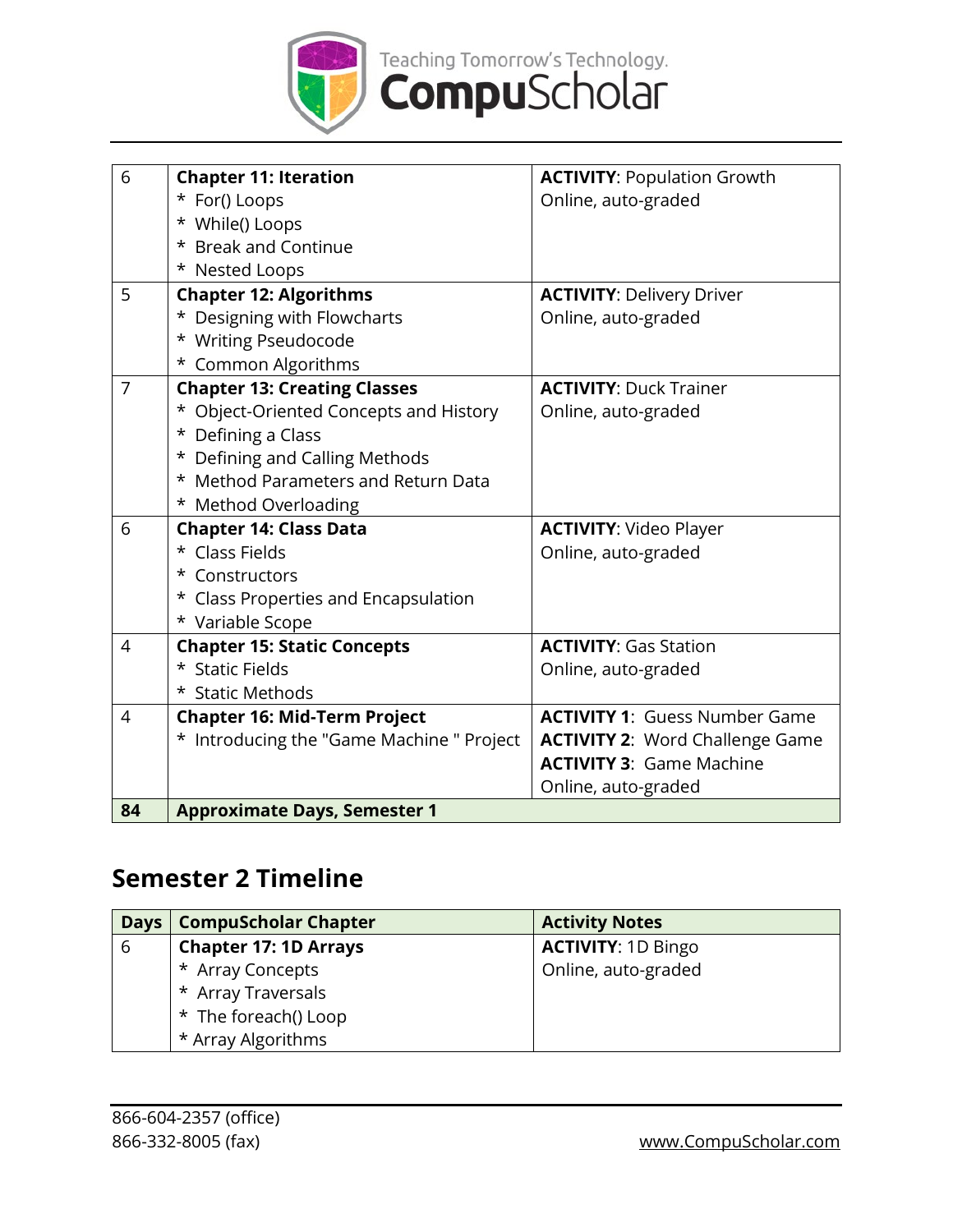

| 6              | <b>Chapter 11: Iteration</b>              | <b>ACTIVITY: Population Growth</b>     |
|----------------|-------------------------------------------|----------------------------------------|
|                | * For() Loops                             | Online, auto-graded                    |
|                | * While() Loops                           |                                        |
|                | * Break and Continue                      |                                        |
|                | * Nested Loops                            |                                        |
| 5              | <b>Chapter 12: Algorithms</b>             | <b>ACTIVITY: Delivery Driver</b>       |
|                | * Designing with Flowcharts               | Online, auto-graded                    |
|                | * Writing Pseudocode                      |                                        |
|                | * Common Algorithms                       |                                        |
| $\overline{7}$ | <b>Chapter 13: Creating Classes</b>       | <b>ACTIVITY: Duck Trainer</b>          |
|                | * Object-Oriented Concepts and History    | Online, auto-graded                    |
|                | * Defining a Class                        |                                        |
|                | * Defining and Calling Methods            |                                        |
|                | * Method Parameters and Return Data       |                                        |
|                | * Method Overloading                      |                                        |
| 6              | <b>Chapter 14: Class Data</b>             | <b>ACTIVITY: Video Player</b>          |
|                | * Class Fields                            | Online, auto-graded                    |
|                | * Constructors                            |                                        |
|                | * Class Properties and Encapsulation      |                                        |
|                | * Variable Scope                          |                                        |
| $\overline{4}$ | <b>Chapter 15: Static Concepts</b>        | <b>ACTIVITY: Gas Station</b>           |
|                | * Static Fields                           | Online, auto-graded                    |
|                | * Static Methods                          |                                        |
| $\overline{4}$ | <b>Chapter 16: Mid-Term Project</b>       | <b>ACTIVITY 1: Guess Number Game</b>   |
|                | * Introducing the "Game Machine " Project | <b>ACTIVITY 2: Word Challenge Game</b> |
|                |                                           | <b>ACTIVITY 3: Game Machine</b>        |
|                |                                           | Online, auto-graded                    |
| 84             | <b>Approximate Days, Semester 1</b>       |                                        |

### **Semester 2 Timeline**

| <b>Days</b> | <b>CompuScholar Chapter</b>  | <b>Activity Notes</b>     |
|-------------|------------------------------|---------------------------|
| 6           | <b>Chapter 17: 1D Arrays</b> | <b>ACTIVITY: 1D Bingo</b> |
|             | * Array Concepts             | Online, auto-graded       |
|             | * Array Traversals           |                           |
|             | * The foreach() Loop         |                           |
|             | * Array Algorithms           |                           |

866-332-8005 (fax) [www.CompuScholar.com](http://www.compuscholar.com/)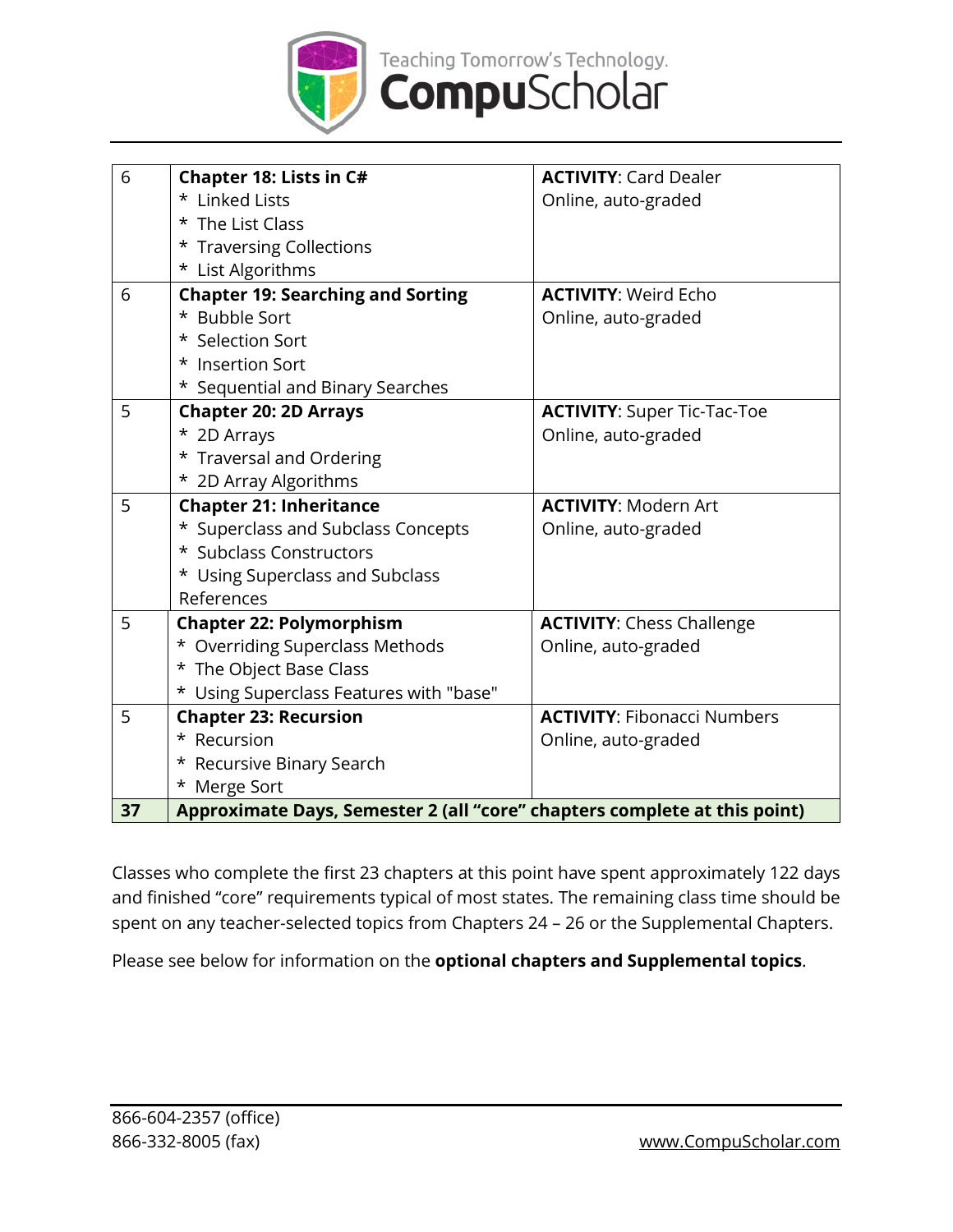

| 6 | Chapter 18: Lists in C#                  | <b>ACTIVITY: Card Dealer</b>       |
|---|------------------------------------------|------------------------------------|
|   | * Linked Lists                           | Online, auto-graded                |
|   | * The List Class                         |                                    |
|   | * Traversing Collections                 |                                    |
|   | * List Algorithms                        |                                    |
| 6 | <b>Chapter 19: Searching and Sorting</b> | <b>ACTIVITY: Weird Echo</b>        |
|   | * Bubble Sort                            | Online, auto-graded                |
|   | * Selection Sort                         |                                    |
|   | * Insertion Sort                         |                                    |
|   | * Sequential and Binary Searches         |                                    |
| 5 | <b>Chapter 20: 2D Arrays</b>             | <b>ACTIVITY: Super Tic-Tac-Toe</b> |
|   | * 2D Arrays                              | Online, auto-graded                |
|   | * Traversal and Ordering                 |                                    |
|   | * 2D Array Algorithms                    |                                    |
| 5 | <b>Chapter 21: Inheritance</b>           | <b>ACTIVITY: Modern Art</b>        |
|   |                                          |                                    |
|   | * Superclass and Subclass Concepts       | Online, auto-graded                |
|   | * Subclass Constructors                  |                                    |
|   | * Using Superclass and Subclass          |                                    |
|   | References                               |                                    |
| 5 | <b>Chapter 22: Polymorphism</b>          | <b>ACTIVITY: Chess Challenge</b>   |
|   | * Overriding Superclass Methods          | Online, auto-graded                |
|   | * The Object Base Class                  |                                    |
|   | * Using Superclass Features with "base"  |                                    |
| 5 | <b>Chapter 23: Recursion</b>             | <b>ACTIVITY: Fibonacci Numbers</b> |
|   | * Recursion                              | Online, auto-graded                |
|   | * Recursive Binary Search                |                                    |
|   | * Merge Sort                             |                                    |

Classes who complete the first 23 chapters at this point have spent approximately 122 days and finished "core" requirements typical of most states. The remaining class time should be spent on any teacher-selected topics from Chapters 24 – 26 or the Supplemental Chapters.

Please see below for information on the **optional chapters and Supplemental topics**.